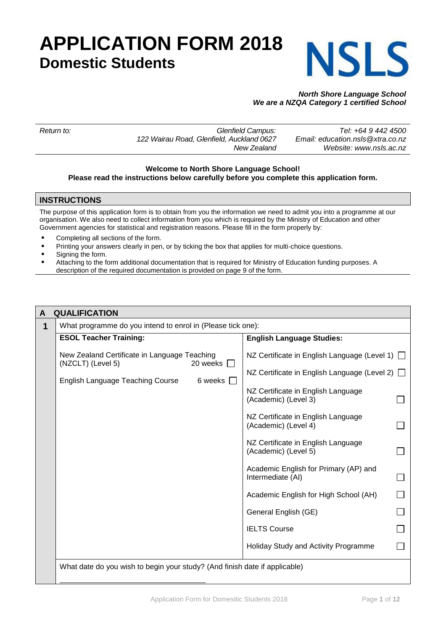# **APPLICATION FORM 2018 Domestic Students**



# *North Shore Language School We are a NZQA Category 1 certified School*

| Return to: | Glenfield Campus:                         | Tel: +64 9 442 4500              |
|------------|-------------------------------------------|----------------------------------|
|            | 122 Wairau Road, Glenfield, Auckland 0627 | Email: education.nsls@xtra.co.nz |
|            | New Zealand                               | Website: www.nsls.ac.nz          |
|            |                                           |                                  |

### **Welcome to North Shore Language School! Please read the instructions below carefully before you complete this application form.**

# **INSTRUCTIONS**

The purpose of this application form is to obtain from you the information we need to admit you into a programme at our organisation. We also need to collect information from you which is required by the Ministry of Education and other Government agencies for statistical and registration reasons. Please fill in the form properly by:

- Completing all sections of the form.
- Printing your answers clearly in pen, or by ticking the box that applies for multi-choice questions.
- Signing the form.
- Attaching to the form additional documentation that is required for Ministry of Education funding purposes. A description of the required documentation is provided on page 9 of the form.

| <b>QUALIFICATION</b>                                                       |                                  |                                                            |  |  |  |
|----------------------------------------------------------------------------|----------------------------------|------------------------------------------------------------|--|--|--|
| What programme do you intend to enrol in (Please tick one):                |                                  |                                                            |  |  |  |
| <b>ESOL Teacher Training:</b>                                              | <b>English Language Studies:</b> |                                                            |  |  |  |
| New Zealand Certificate in Language Teaching<br>(NZCLT) (Level 5)          | 20 weeks                         | NZ Certificate in English Language (Level 1) □             |  |  |  |
| English Language Teaching Course                                           | 6 weeks $\Box$                   | NZ Certificate in English Language (Level 2)               |  |  |  |
|                                                                            |                                  | NZ Certificate in English Language<br>(Academic) (Level 3) |  |  |  |
|                                                                            |                                  | NZ Certificate in English Language<br>(Academic) (Level 4) |  |  |  |
|                                                                            |                                  | NZ Certificate in English Language<br>(Academic) (Level 5) |  |  |  |
|                                                                            |                                  | Academic English for Primary (AP) and<br>Intermediate (AI) |  |  |  |
|                                                                            |                                  | Academic English for High School (AH)                      |  |  |  |
|                                                                            |                                  | General English (GE)                                       |  |  |  |
|                                                                            |                                  | <b>IELTS Course</b>                                        |  |  |  |
|                                                                            |                                  | Holiday Study and Activity Programme                       |  |  |  |
| What date do you wish to begin your study? (And finish date if applicable) |                                  |                                                            |  |  |  |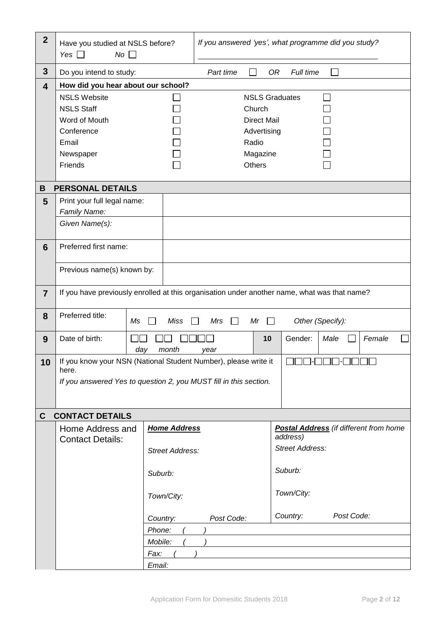| $\overline{2}$          | Have you studied at NSLS before?<br>Yes $\Box$<br>$No \ \Box$                                |                     | If you answered 'yes', what programme did you study? |                                       |                       |                |                                               |               |        |  |
|-------------------------|----------------------------------------------------------------------------------------------|---------------------|------------------------------------------------------|---------------------------------------|-----------------------|----------------|-----------------------------------------------|---------------|--------|--|
| $\overline{\mathbf{3}}$ | Do you intend to study:                                                                      |                     |                                                      | Part time                             |                       | 0R             | Full time                                     |               |        |  |
| $\overline{\mathbf{4}}$ | How did you hear about our school?                                                           |                     |                                                      |                                       |                       |                |                                               |               |        |  |
|                         | <b>NSLS Website</b>                                                                          |                     |                                                      |                                       | <b>NSLS Graduates</b> |                |                                               | $\mathcal{L}$ |        |  |
|                         | <b>NSLS Staff</b>                                                                            |                     |                                                      |                                       | Church                |                |                                               |               |        |  |
|                         | Word of Mouth                                                                                |                     |                                                      |                                       | <b>Direct Mail</b>    |                |                                               |               |        |  |
|                         | Conference                                                                                   |                     |                                                      |                                       | Advertising           |                |                                               |               |        |  |
|                         | Email                                                                                        |                     |                                                      |                                       | Radio                 |                |                                               |               |        |  |
|                         | Newspaper                                                                                    |                     |                                                      |                                       | Magazine              |                |                                               |               |        |  |
|                         | Friends                                                                                      |                     |                                                      |                                       | Others                |                |                                               |               |        |  |
|                         |                                                                                              |                     |                                                      |                                       |                       |                |                                               |               |        |  |
| В                       | <b>PERSONAL DETAILS</b>                                                                      |                     |                                                      |                                       |                       |                |                                               |               |        |  |
| 5                       | Print your full legal name:<br>Family Name:                                                  |                     |                                                      |                                       |                       |                |                                               |               |        |  |
|                         | Given Name(s):                                                                               |                     |                                                      |                                       |                       |                |                                               |               |        |  |
|                         |                                                                                              |                     |                                                      |                                       |                       |                |                                               |               |        |  |
| 6                       | Preferred first name:                                                                        |                     |                                                      |                                       |                       |                |                                               |               |        |  |
|                         |                                                                                              |                     |                                                      |                                       |                       |                |                                               |               |        |  |
|                         | Previous name(s) known by:                                                                   |                     |                                                      |                                       |                       |                |                                               |               |        |  |
|                         |                                                                                              |                     |                                                      |                                       |                       |                |                                               |               |        |  |
| $\overline{7}$          | If you have previously enrolled at this organisation under another name, what was that name? |                     |                                                      |                                       |                       |                |                                               |               |        |  |
|                         |                                                                                              |                     |                                                      |                                       |                       |                |                                               |               |        |  |
| 8                       | Preferred title:                                                                             | Ms                  | <b>Miss</b>                                          | Mrs<br>$\mathsf{L}$<br>$\blacksquare$ | Mr                    | $\blacksquare$ | Other (Specify):                              |               |        |  |
|                         | Date of birth:                                                                               |                     |                                                      |                                       |                       | 10             | Gender:                                       | Male          | Female |  |
| 9                       |                                                                                              | day<br>month        |                                                      | vear                                  |                       |                |                                               |               |        |  |
| 10                      | If you know your NSN (National Student Number), please write it                              |                     |                                                      |                                       |                       |                |                                               |               |        |  |
|                         | here.                                                                                        |                     |                                                      |                                       |                       |                |                                               |               |        |  |
|                         | If you answered Yes to question 2, you MUST fill in this section.                            |                     |                                                      |                                       |                       |                |                                               |               |        |  |
|                         |                                                                                              |                     |                                                      |                                       |                       |                |                                               |               |        |  |
| $\mathbf{C}$            | <b>CONTACT DETAILS</b>                                                                       |                     |                                                      |                                       |                       |                |                                               |               |        |  |
|                         | Home Address and                                                                             | <b>Home Address</b> |                                                      |                                       |                       |                | <b>Postal Address</b> (if different from home |               |        |  |
|                         | <b>Contact Details:</b>                                                                      |                     |                                                      |                                       |                       |                | address)                                      |               |        |  |
|                         |                                                                                              | Street Address:     |                                                      |                                       |                       |                | <b>Street Address:</b>                        |               |        |  |
|                         |                                                                                              |                     |                                                      |                                       |                       |                |                                               |               |        |  |
|                         |                                                                                              | Suburb:             |                                                      |                                       |                       |                | Suburb:                                       |               |        |  |
|                         |                                                                                              |                     |                                                      |                                       |                       |                |                                               |               |        |  |
|                         |                                                                                              | Town/City:          |                                                      |                                       |                       |                | Town/City:                                    |               |        |  |
|                         |                                                                                              |                     |                                                      |                                       |                       |                |                                               |               |        |  |
|                         |                                                                                              | Country:            |                                                      | Post Code:                            |                       |                | Country:                                      | Post Code:    |        |  |
|                         |                                                                                              | Phone:              |                                                      |                                       |                       |                |                                               |               |        |  |
|                         |                                                                                              | Mobile:             |                                                      |                                       |                       |                |                                               |               |        |  |
|                         |                                                                                              | Fax:                |                                                      |                                       |                       |                |                                               |               |        |  |
|                         |                                                                                              | Email:              |                                                      |                                       |                       |                |                                               |               |        |  |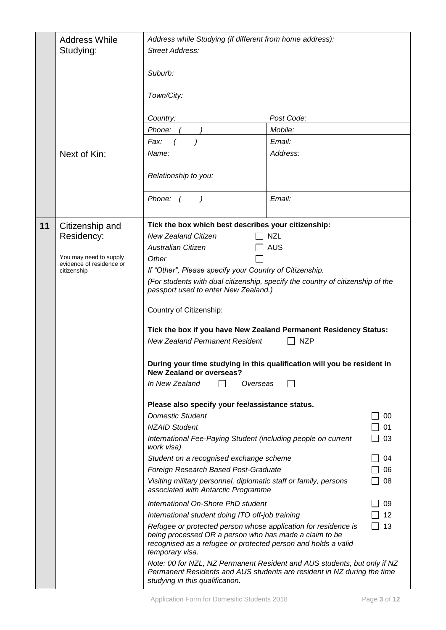|    | <b>Address While</b><br>Studying:<br>Next of Kin:                                                  | Address while Studying (if different from home address):<br>Street Address:<br>Suburb:<br>Town/City:<br>Country:<br>Phone:<br>Fax:<br>Name:                                                                                                                                                                                                                                                                                                                                                                                                                                                                                                                                                                                                                                                                                                                                                                                                                                                                                                                                                             | Post Code:<br>Mobile:<br>Email:<br>Address:                                                                                                                                                                                                                                                                                                                                                                                                                                   |
|----|----------------------------------------------------------------------------------------------------|---------------------------------------------------------------------------------------------------------------------------------------------------------------------------------------------------------------------------------------------------------------------------------------------------------------------------------------------------------------------------------------------------------------------------------------------------------------------------------------------------------------------------------------------------------------------------------------------------------------------------------------------------------------------------------------------------------------------------------------------------------------------------------------------------------------------------------------------------------------------------------------------------------------------------------------------------------------------------------------------------------------------------------------------------------------------------------------------------------|-------------------------------------------------------------------------------------------------------------------------------------------------------------------------------------------------------------------------------------------------------------------------------------------------------------------------------------------------------------------------------------------------------------------------------------------------------------------------------|
|    |                                                                                                    | Relationship to you:                                                                                                                                                                                                                                                                                                                                                                                                                                                                                                                                                                                                                                                                                                                                                                                                                                                                                                                                                                                                                                                                                    |                                                                                                                                                                                                                                                                                                                                                                                                                                                                               |
|    |                                                                                                    | Phone: $( )$                                                                                                                                                                                                                                                                                                                                                                                                                                                                                                                                                                                                                                                                                                                                                                                                                                                                                                                                                                                                                                                                                            | Email:                                                                                                                                                                                                                                                                                                                                                                                                                                                                        |
| 11 | Citizenship and<br>Residency:<br>You may need to supply<br>evidence of residence or<br>citizenship | Tick the box which best describes your citizenship:<br><b>New Zealand Citizen</b><br><b>Australian Citizen</b><br>Other<br>If "Other", Please specify your Country of Citizenship.<br>passport used to enter New Zealand.)<br>Country of Citizenship: _______<br><b>New Zealand Permanent Resident</b><br><b>New Zealand or overseas?</b><br>In New Zealand<br>Overseas<br>Please also specify your fee/assistance status.<br><b>Domestic Student</b><br><b>NZAID Student</b><br>International Fee-Paying Student (including people on current<br>work visa)<br>Student on a recognised exchange scheme<br>Foreign Research Based Post-Graduate<br>Visiting military personnel, diplomatic staff or family, persons<br>associated with Antarctic Programme<br>International On-Shore PhD student<br>International student doing ITO off-job training<br>Refugee or protected person whose application for residence is<br>being processed OR a person who has made a claim to be<br>recognised as a refugee or protected person and holds a valid<br>temporary visa.<br>studying in this qualification. | <b>NZL</b><br>AUS<br>(For students with dual citizenship, specify the country of citizenship of the<br>Tick the box if you have New Zealand Permanent Residency Status:<br><b>NZP</b><br>During your time studying in this qualification will you be resident in<br>00<br>01<br>03<br>04<br>06<br>08<br>09<br>12<br>13<br>Note: 00 for NZL, NZ Permanent Resident and AUS students, but only if NZ<br>Permanent Residents and AUS students are resident in NZ during the time |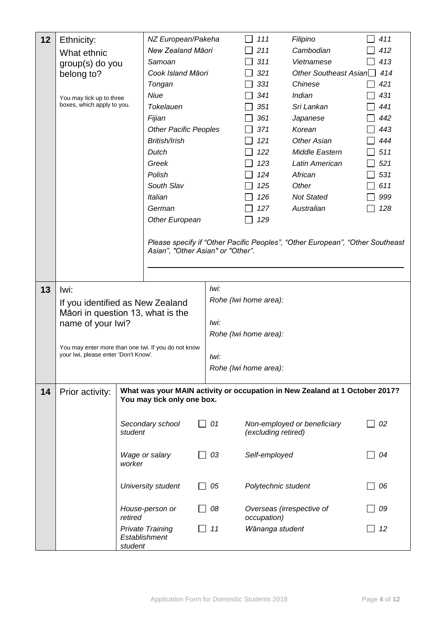| 12 | Ethnicity:                           | NZ European/Pakeha                                                          |      | 111                   | Filipino                                                                      | 411 |
|----|--------------------------------------|-----------------------------------------------------------------------------|------|-----------------------|-------------------------------------------------------------------------------|-----|
|    | What ethnic                          | New Zealand Māori                                                           |      | 211                   | Cambodian                                                                     | 412 |
|    | group(s) do you                      | Samoan                                                                      |      | 311                   | Vietnamese                                                                    | 413 |
|    | belong to?                           | Cook Island Māori                                                           |      | 321                   | Other Southeast Asian <sup>1</sup> 414                                        |     |
|    |                                      | Tongan                                                                      |      | 331                   | Chinese                                                                       | 421 |
|    | You may tick up to three             | Niue                                                                        |      | 341                   | Indian                                                                        | 431 |
|    | boxes, which apply to you.           | <b>Tokelauen</b>                                                            |      | 351                   | Sri Lankan                                                                    | 441 |
|    |                                      | Fijian                                                                      |      | 361                   | Japanese                                                                      | 442 |
|    |                                      | <b>Other Pacific Peoples</b>                                                |      | 371                   | Korean                                                                        | 443 |
|    |                                      | British/Irish                                                               |      | 121                   | Other Asian                                                                   | 444 |
|    |                                      | Dutch                                                                       |      | 122                   | Middle Eastern                                                                | 511 |
|    |                                      | Greek                                                                       |      | 123                   | Latin American                                                                | 521 |
|    |                                      | Polish                                                                      |      | 124                   | African                                                                       | 531 |
|    |                                      | South Slav                                                                  |      | 125                   | Other                                                                         | 611 |
|    |                                      | Italian                                                                     |      | 126                   | <b>Not Stated</b>                                                             | 999 |
|    |                                      | German                                                                      |      | 127                   | Australian                                                                    | 128 |
|    |                                      | Other European                                                              |      | 129                   |                                                                               |     |
|    |                                      |                                                                             |      |                       |                                                                               |     |
|    |                                      | Asian", "Other Asian" or "Other".                                           |      |                       | Please specify if "Other Pacific Peoples", "Other European", "Other Southeast |     |
|    |                                      |                                                                             |      |                       |                                                                               |     |
|    |                                      |                                                                             |      |                       |                                                                               |     |
| 13 | lwi:                                 |                                                                             | lwi: |                       |                                                                               |     |
|    |                                      |                                                                             |      | Rohe (Iwi home area): |                                                                               |     |
|    |                                      | If you identified as New Zealand<br>Māori in question 13, what is the       |      |                       |                                                                               |     |
|    | name of your lwi?                    |                                                                             | Iwi: |                       |                                                                               |     |
|    |                                      |                                                                             |      | Rohe (Iwi home area): |                                                                               |     |
|    |                                      | You may enter more than one lwi. If you do not know                         |      |                       |                                                                               |     |
|    | your Iwi, please enter 'Don't Know'. |                                                                             | lwi: |                       |                                                                               |     |
|    |                                      |                                                                             |      | Rohe (Iwi home area): |                                                                               |     |
|    |                                      |                                                                             |      |                       |                                                                               |     |
| 14 | Prior activity:                      | What was your MAIN activity or occupation in New Zealand at 1 October 2017? |      |                       |                                                                               |     |
|    |                                      | You may tick only one box.                                                  |      |                       |                                                                               |     |
|    |                                      |                                                                             |      |                       |                                                                               |     |
|    |                                      | Secondary school<br>student                                                 | 01   | (excluding retired)   | Non-employed or beneficiary                                                   | 02  |
|    |                                      |                                                                             |      |                       |                                                                               |     |
|    |                                      | Wage or salary                                                              | 03   | Self-employed         |                                                                               | 04  |
|    |                                      | worker                                                                      |      |                       |                                                                               |     |
|    |                                      |                                                                             |      |                       |                                                                               |     |
|    |                                      | University student                                                          | 05   | Polytechnic student   |                                                                               | 06  |
|    |                                      |                                                                             |      |                       |                                                                               |     |
|    |                                      | House-person or                                                             | 08   |                       | Overseas (irrespective of                                                     | 09  |
|    |                                      | retired                                                                     |      | occupation)           |                                                                               |     |
|    |                                      | <b>Private Training</b><br>Establishment                                    | 11   | Wānanga student       |                                                                               | 12  |
|    |                                      | student                                                                     |      |                       |                                                                               |     |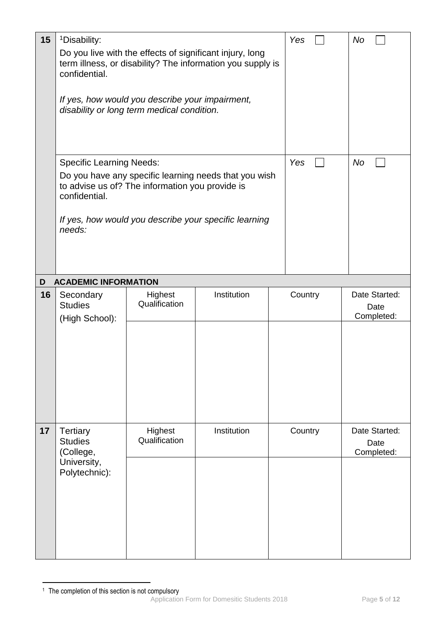| 15 | <sup>1</sup> Disability:<br>confidential.                                      | Do you live with the effects of significant injury, long<br>term illness, or disability? The information you supply is<br>If yes, how would you describe your impairment,<br>disability or long term medical condition. | Yes         | No      |                                     |
|----|--------------------------------------------------------------------------------|-------------------------------------------------------------------------------------------------------------------------------------------------------------------------------------------------------------------------|-------------|---------|-------------------------------------|
|    | <b>Specific Learning Needs:</b><br>confidential.<br>needs:                     | Do you have any specific learning needs that you wish<br>to advise us of? The information you provide is<br>If yes, how would you describe your specific learning                                                       | Yes         | No      |                                     |
| D  | <b>ACADEMIC INFORMATION</b>                                                    |                                                                                                                                                                                                                         |             |         |                                     |
| 16 | Secondary<br><b>Studies</b><br>(High School):                                  | Highest<br>Qualification                                                                                                                                                                                                | Institution | Country | Date Started:<br>Date<br>Completed: |
| 17 | <b>Tertiary</b><br><b>Studies</b><br>(College,<br>University,<br>Polytechnic): | Highest<br>Qualification                                                                                                                                                                                                | Institution | Country | Date Started:<br>Date<br>Completed: |

Application Form for Domesitic Students 2018 Page **5** of **12** 1 <sup>1</sup> The completion of this section is not compulsory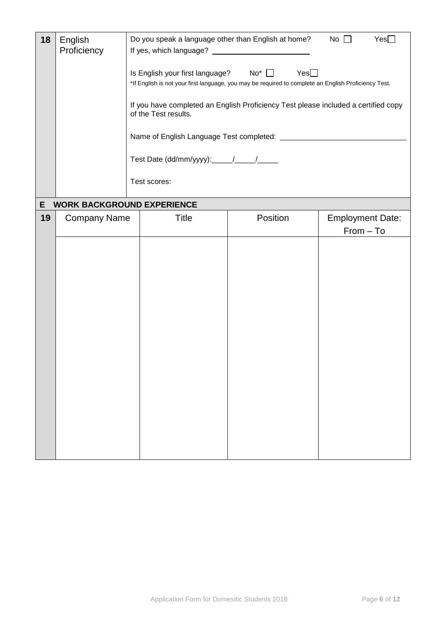| 18 | English<br>Proficiency            | Do you speak a language other than English at home? No $\square$<br>Yes |                                                   |                                                                                                             |                                        |  |  |
|----|-----------------------------------|-------------------------------------------------------------------------|---------------------------------------------------|-------------------------------------------------------------------------------------------------------------|----------------------------------------|--|--|
|    |                                   |                                                                         | Is English your first language? No <sup>*</sup> □ | Yes<br>*If English is not your first language, you may be required to complete an English Proficiency Test. |                                        |  |  |
|    |                                   |                                                                         | of the Test results.                              | If you have completed an English Proficiency Test please included a certified copy                          |                                        |  |  |
|    |                                   |                                                                         |                                                   |                                                                                                             |                                        |  |  |
|    |                                   |                                                                         |                                                   |                                                                                                             |                                        |  |  |
|    |                                   |                                                                         | Test scores:                                      |                                                                                                             |                                        |  |  |
| E  | <b>WORK BACKGROUND EXPERIENCE</b> |                                                                         |                                                   |                                                                                                             |                                        |  |  |
| 19 | <b>Company Name</b>               |                                                                         | <b>Title</b>                                      | Position                                                                                                    | <b>Employment Date:</b><br>$From - To$ |  |  |
|    |                                   |                                                                         |                                                   |                                                                                                             |                                        |  |  |
|    |                                   |                                                                         |                                                   |                                                                                                             |                                        |  |  |
|    |                                   |                                                                         |                                                   |                                                                                                             |                                        |  |  |
|    |                                   |                                                                         |                                                   |                                                                                                             |                                        |  |  |
|    |                                   |                                                                         |                                                   |                                                                                                             |                                        |  |  |
|    |                                   |                                                                         |                                                   |                                                                                                             |                                        |  |  |
|    |                                   |                                                                         |                                                   |                                                                                                             |                                        |  |  |
|    |                                   |                                                                         |                                                   |                                                                                                             |                                        |  |  |
|    |                                   |                                                                         |                                                   |                                                                                                             |                                        |  |  |
|    |                                   |                                                                         |                                                   |                                                                                                             |                                        |  |  |
|    |                                   |                                                                         |                                                   |                                                                                                             |                                        |  |  |
|    |                                   |                                                                         |                                                   |                                                                                                             |                                        |  |  |
|    |                                   |                                                                         |                                                   |                                                                                                             |                                        |  |  |
|    |                                   |                                                                         |                                                   |                                                                                                             |                                        |  |  |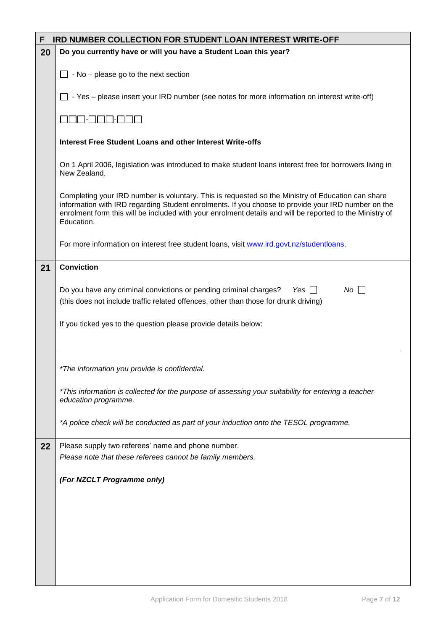| F  | <b>IRD NUMBER COLLECTION FOR STUDENT LOAN INTEREST WRITE-OFF</b>                                                                                                                                                                                                                                                                  |  |  |  |  |  |  |  |  |
|----|-----------------------------------------------------------------------------------------------------------------------------------------------------------------------------------------------------------------------------------------------------------------------------------------------------------------------------------|--|--|--|--|--|--|--|--|
| 20 | Do you currently have or will you have a Student Loan this year?                                                                                                                                                                                                                                                                  |  |  |  |  |  |  |  |  |
|    | - No - please go to the next section                                                                                                                                                                                                                                                                                              |  |  |  |  |  |  |  |  |
|    | - Yes - please insert your IRD number (see notes for more information on interest write-off)                                                                                                                                                                                                                                      |  |  |  |  |  |  |  |  |
|    |                                                                                                                                                                                                                                                                                                                                   |  |  |  |  |  |  |  |  |
|    | Interest Free Student Loans and other Interest Write-offs                                                                                                                                                                                                                                                                         |  |  |  |  |  |  |  |  |
|    | On 1 April 2006, legislation was introduced to make student loans interest free for borrowers living in<br>New Zealand.                                                                                                                                                                                                           |  |  |  |  |  |  |  |  |
|    | Completing your IRD number is voluntary. This is requested so the Ministry of Education can share<br>information with IRD regarding Student enrolments. If you choose to provide your IRD number on the<br>enrolment form this will be included with your enrolment details and will be reported to the Ministry of<br>Education. |  |  |  |  |  |  |  |  |
|    | For more information on interest free student loans, visit www.ird.govt.nz/studentloans.                                                                                                                                                                                                                                          |  |  |  |  |  |  |  |  |
| 21 | <b>Conviction</b>                                                                                                                                                                                                                                                                                                                 |  |  |  |  |  |  |  |  |
|    | Do you have any criminal convictions or pending criminal charges? Yes $\Box$<br>No<br>(this does not include traffic related offences, other than those for drunk driving)                                                                                                                                                        |  |  |  |  |  |  |  |  |
|    | If you ticked yes to the question please provide details below:                                                                                                                                                                                                                                                                   |  |  |  |  |  |  |  |  |
|    | *The information you provide is confidential.                                                                                                                                                                                                                                                                                     |  |  |  |  |  |  |  |  |
|    | *This information is collected for the purpose of assessing your suitability for entering a teacher<br>education programme.                                                                                                                                                                                                       |  |  |  |  |  |  |  |  |
|    | *A police check will be conducted as part of your induction onto the TESOL programme.                                                                                                                                                                                                                                             |  |  |  |  |  |  |  |  |
| 22 | Please supply two referees' name and phone number.                                                                                                                                                                                                                                                                                |  |  |  |  |  |  |  |  |
|    | Please note that these referees cannot be family members.                                                                                                                                                                                                                                                                         |  |  |  |  |  |  |  |  |
|    | (For NZCLT Programme only)                                                                                                                                                                                                                                                                                                        |  |  |  |  |  |  |  |  |
|    |                                                                                                                                                                                                                                                                                                                                   |  |  |  |  |  |  |  |  |
|    |                                                                                                                                                                                                                                                                                                                                   |  |  |  |  |  |  |  |  |
|    |                                                                                                                                                                                                                                                                                                                                   |  |  |  |  |  |  |  |  |
|    |                                                                                                                                                                                                                                                                                                                                   |  |  |  |  |  |  |  |  |
|    |                                                                                                                                                                                                                                                                                                                                   |  |  |  |  |  |  |  |  |
|    |                                                                                                                                                                                                                                                                                                                                   |  |  |  |  |  |  |  |  |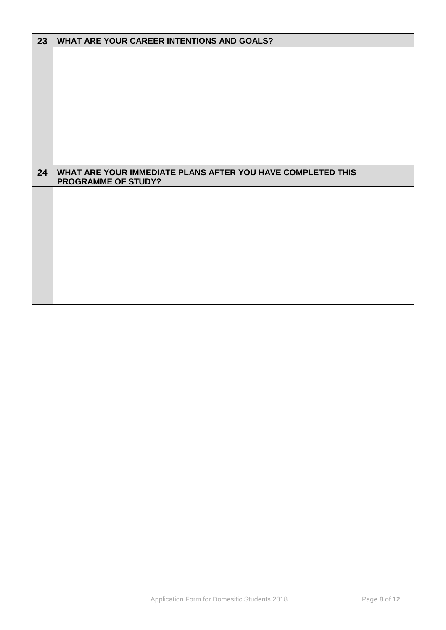| 23 | WHAT ARE YOUR CAREER INTENTIONS AND GOALS?                                                |
|----|-------------------------------------------------------------------------------------------|
|    |                                                                                           |
|    |                                                                                           |
| 24 | WHAT ARE YOUR IMMEDIATE PLANS AFTER YOU HAVE COMPLETED THIS<br><b>PROGRAMME OF STUDY?</b> |
|    |                                                                                           |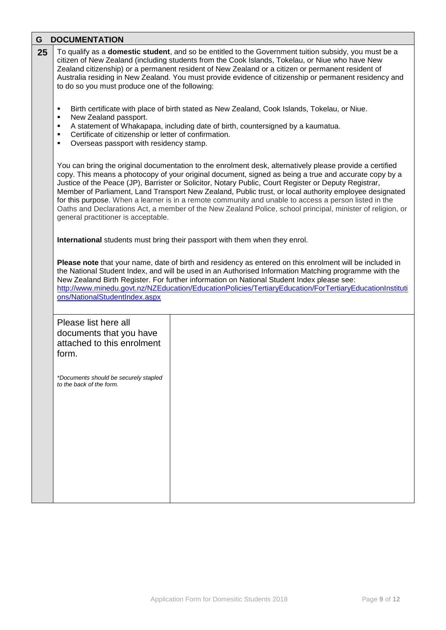| G  | <b>DOCUMENTATION</b>                                                                                                                                                                                                                                                                                                                                                                                                                                                                                                                                                                                                                                                                               |  |  |  |  |  |  |  |  |
|----|----------------------------------------------------------------------------------------------------------------------------------------------------------------------------------------------------------------------------------------------------------------------------------------------------------------------------------------------------------------------------------------------------------------------------------------------------------------------------------------------------------------------------------------------------------------------------------------------------------------------------------------------------------------------------------------------------|--|--|--|--|--|--|--|--|
| 25 | To qualify as a <b>domestic student</b> , and so be entitled to the Government tuition subsidy, you must be a<br>citizen of New Zealand (including students from the Cook Islands, Tokelau, or Niue who have New<br>Zealand citizenship) or a permanent resident of New Zealand or a citizen or permanent resident of<br>Australia residing in New Zealand. You must provide evidence of citizenship or permanent residency and<br>to do so you must produce one of the following:                                                                                                                                                                                                                 |  |  |  |  |  |  |  |  |
|    | Birth certificate with place of birth stated as New Zealand, Cook Islands, Tokelau, or Niue.<br>٠<br>New Zealand passport.<br>٠<br>A statement of Whakapapa, including date of birth, countersigned by a kaumatua.<br>٠<br>Certificate of citizenship or letter of confirmation.<br>٠<br>Overseas passport with residency stamp.<br>٠                                                                                                                                                                                                                                                                                                                                                              |  |  |  |  |  |  |  |  |
|    | You can bring the original documentation to the enrolment desk, alternatively please provide a certified<br>copy. This means a photocopy of your original document, signed as being a true and accurate copy by a<br>Justice of the Peace (JP), Barrister or Solicitor, Notary Public, Court Register or Deputy Registrar,<br>Member of Parliament, Land Transport New Zealand, Public trust, or local authority employee designated<br>for this purpose. When a learner is in a remote community and unable to access a person listed in the<br>Oaths and Declarations Act, a member of the New Zealand Police, school principal, minister of religion, or<br>general practitioner is acceptable. |  |  |  |  |  |  |  |  |
|    | International students must bring their passport with them when they enrol.                                                                                                                                                                                                                                                                                                                                                                                                                                                                                                                                                                                                                        |  |  |  |  |  |  |  |  |
|    | Please note that your name, date of birth and residency as entered on this enrolment will be included in<br>the National Student Index, and will be used in an Authorised Information Matching programme with the<br>New Zealand Birth Register. For further information on National Student Index please see:<br>http://www.minedu.govt.nz/NZEducation/EducationPolicies/TertiaryEducation/ForTertiaryEducationInstituti<br>ons/NationalStudentIndex.aspx                                                                                                                                                                                                                                         |  |  |  |  |  |  |  |  |
|    | Please list here all<br>documents that you have<br>attached to this enrolment<br>form.<br>*Documents should be securely stapled<br>to the back of the form.                                                                                                                                                                                                                                                                                                                                                                                                                                                                                                                                        |  |  |  |  |  |  |  |  |
|    |                                                                                                                                                                                                                                                                                                                                                                                                                                                                                                                                                                                                                                                                                                    |  |  |  |  |  |  |  |  |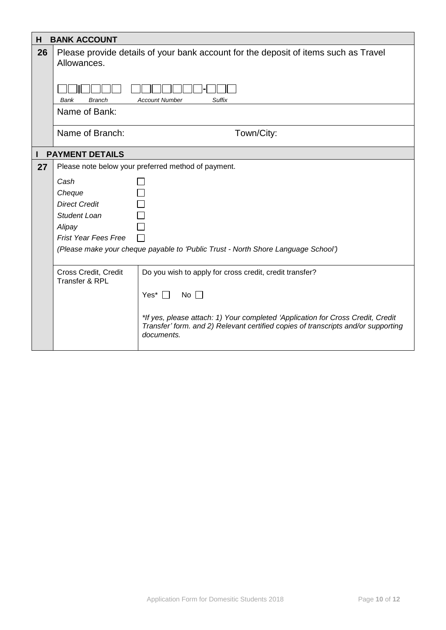| H  | <b>BANK ACCOUNT</b>                                                                                |                                                                                                                                                                                    |  |  |  |  |  |  |
|----|----------------------------------------------------------------------------------------------------|------------------------------------------------------------------------------------------------------------------------------------------------------------------------------------|--|--|--|--|--|--|
| 26 | Please provide details of your bank account for the deposit of items such as Travel<br>Allowances. |                                                                                                                                                                                    |  |  |  |  |  |  |
|    | <b>Branch</b><br>Bank                                                                              | <b>Suffix</b><br><b>Account Number</b>                                                                                                                                             |  |  |  |  |  |  |
|    | Name of Bank:                                                                                      |                                                                                                                                                                                    |  |  |  |  |  |  |
|    | Name of Branch:                                                                                    | Town/City:                                                                                                                                                                         |  |  |  |  |  |  |
|    | <b>PAYMENT DETAILS</b>                                                                             |                                                                                                                                                                                    |  |  |  |  |  |  |
| 27 |                                                                                                    | Please note below your preferred method of payment.                                                                                                                                |  |  |  |  |  |  |
|    | Cash                                                                                               |                                                                                                                                                                                    |  |  |  |  |  |  |
|    | Cheque                                                                                             |                                                                                                                                                                                    |  |  |  |  |  |  |
|    | <b>Direct Credit</b>                                                                               |                                                                                                                                                                                    |  |  |  |  |  |  |
|    | Student Loan                                                                                       |                                                                                                                                                                                    |  |  |  |  |  |  |
|    | Alipay                                                                                             |                                                                                                                                                                                    |  |  |  |  |  |  |
|    | <b>Frist Year Fees Free</b>                                                                        |                                                                                                                                                                                    |  |  |  |  |  |  |
|    | (Please make your cheque payable to 'Public Trust - North Shore Language School')                  |                                                                                                                                                                                    |  |  |  |  |  |  |
|    | Cross Credit, Credit<br>Transfer & RPL                                                             | Do you wish to apply for cross credit, credit transfer?                                                                                                                            |  |  |  |  |  |  |
|    |                                                                                                    | Yes* $\Box$<br>No $\Box$                                                                                                                                                           |  |  |  |  |  |  |
|    |                                                                                                    | *If yes, please attach: 1) Your completed 'Application for Cross Credit, Credit<br>Transfer' form. and 2) Relevant certified copies of transcripts and/or supporting<br>documents. |  |  |  |  |  |  |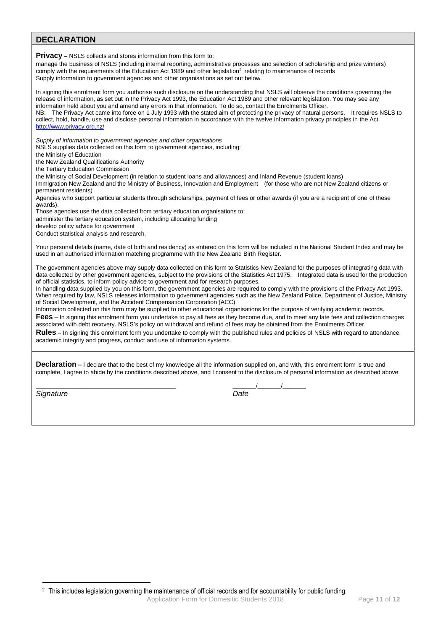**DECLARATION Privacy** – NSLS collects and stores information from this form to: manage the business of NSLS (including internal reporting, administrative processes and selection of scholarship and prize winners)  $\sim$  comply with the requirements of the Education Act 1989 and other legislation<sup>2</sup> relating to maintenance of records Supply information to government agencies and other organisations as set out below. In signing this enrolment form you authorise such disclosure on the understanding that NSLS will observe the conditions governing the release of information, as set out in the Privacy Act 1993, the Education Act 1989 and other relevant legislation. You may see any information held about you and amend any errors in that information. To do so, contact the Enrolments Officer. NB: The Privacy Act came into force on 1 July 1993 with the stated aim of protecting the privacy of natural persons. It requires NSLS to collect, hold, handle, use and disclose personal information in accordance with the twelve information privacy principles in the Act. <http://www.privacy.org.nz/> *Supply of information to government agencies and other organisations* NSLS supplies data collected on this form to government agencies, including: the Ministry of Education the New Zealand Qualifications Authority the Tertiary Education Commission the Ministry of Social Development (in relation to student loans and allowances) and Inland Revenue (student loans) Immigration New Zealand and the Ministry of Business, Innovation and Employment (for those who are not New Zealand citizens or permanent residents) Agencies who support particular students through scholarships, payment of fees or other awards (if you are a recipient of one of these awards). Those agencies use the data collected from tertiary education organisations to: administer the tertiary education system, including allocating funding develop policy advice for government Conduct statistical analysis and research. Your personal details (name, date of birth and residency) as entered on this form will be included in the National Student Index and may be used in an authorised information matching programme with the New Zealand Birth Register. The government agencies above may supply data collected on this form to Statistics New Zealand for the purposes of integrating data with data collected by other government agencies, subject to the provisions of the Statistics Act 1975. Integrated data is used for the production of official statistics, to inform policy advice to government and for research purposes. In handling data supplied by you on this form, the government agencies are required to comply with the provisions of the Privacy Act 1993. When required by law, NSLS releases information to government agencies such as the New Zealand Police, Department of Justice, Ministry of Social Development, and the Accident Compensation Corporation (ACC). Information collected on this form may be supplied to other educational organisations for the purpose of verifying academic records. **Fees** – In signing this enrolment form you undertake to pay all fees as they become due, and to meet any late fees and collection charges associated with debt recovery. NSLS's policy on withdrawal and refund of fees may be obtained from the Enrolments Officer. **Rules** – In signing this enrolment form you undertake to comply with the published rules and policies of NSLS with regard to attendance, academic integrity and progress, conduct and use of information systems. **Declaration –** I declare that to the best of my knowledge all the information supplied on, and with, this enrolment form is true and complete, I agree to abide by the conditions described above, and I consent to the disclosure of personal information as described above. \_\_\_\_\_\_\_\_\_\_\_\_\_\_\_\_\_\_\_\_\_\_\_\_\_\_\_\_\_\_\_\_\_\_\_\_\_\_\_\_\_\_ \_\_\_\_\_\_\_/\_\_\_\_\_\_\_/\_\_\_\_\_\_\_ *Signature Date*

<sup>2</sup> This includes legislation governing the maintenance of official records and for accountability for public funding.

1

Application Form for Domesitic Students 2018 Page **11** of **12**